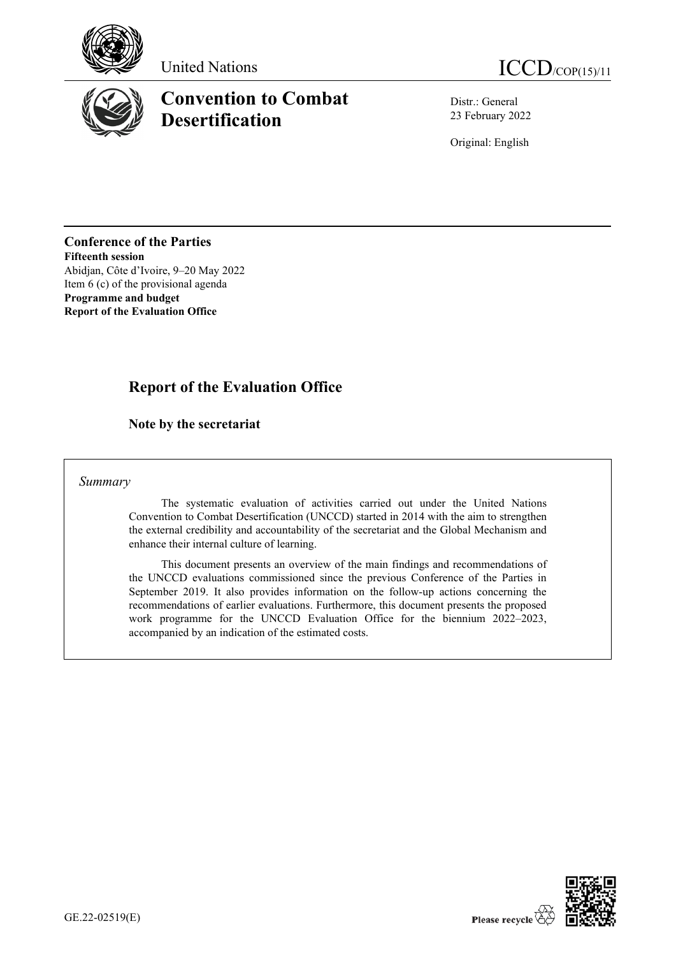





# **Convention to Combat Desertification**

Distr.: General 23 February 2022

Original: English

**Conference of the Parties Fifteenth session** Abidjan, Côte d'Ivoire, 9–20 May 2022 Item 6 (c) of the provisional agenda **Programme and budget Report of the Evaluation Office**

## **Report of the Evaluation Office**

### **Note by the secretariat**

#### *Summary*

The systematic evaluation of activities carried out under the United Nations Convention to Combat Desertification (UNCCD) started in 2014 with the aim to strengthen the external credibility and accountability of the secretariat and the Global Mechanism and enhance their internal culture of learning.

This document presents an overview of the main findings and recommendations of the UNCCD evaluations commissioned since the previous Conference of the Parties in September 2019. It also provides information on the follow-up actions concerning the recommendations of earlier evaluations. Furthermore, this document presents the proposed work programme for the UNCCD Evaluation Office for the biennium 2022–2023, accompanied by an indication of the estimated costs.

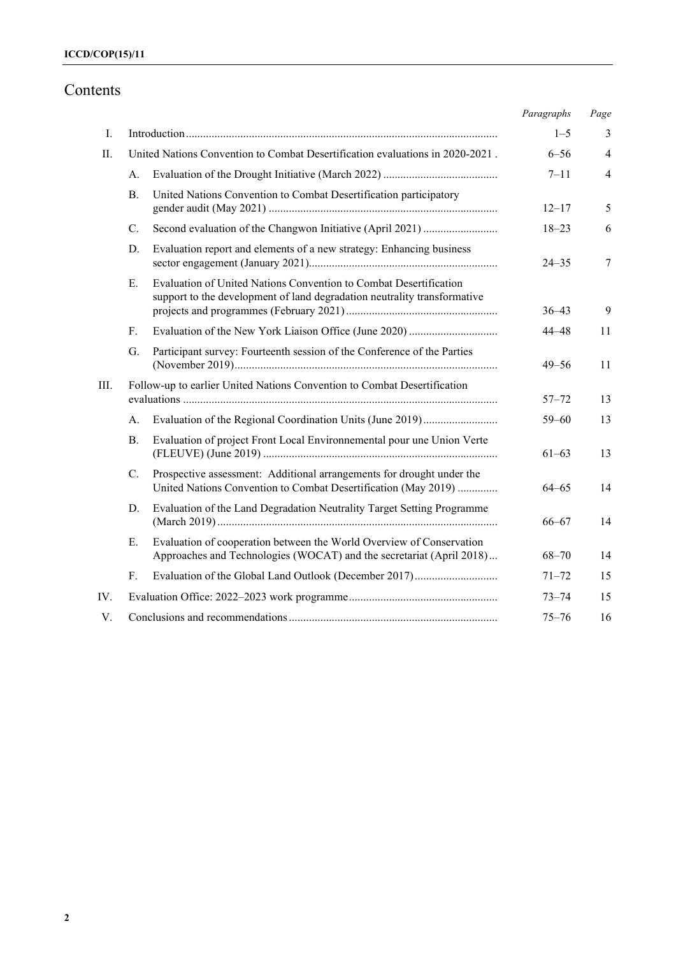# Contents

|      |                |                                                                                                                                               | Paragraphs | Page           |
|------|----------------|-----------------------------------------------------------------------------------------------------------------------------------------------|------------|----------------|
| Ι.   |                |                                                                                                                                               | $1 - 5$    | 3              |
| П.   |                | United Nations Convention to Combat Desertification evaluations in 2020-2021.                                                                 | $6 - 56$   | $\overline{4}$ |
|      | А.             |                                                                                                                                               | $7 - 11$   | $\overline{4}$ |
|      | В.             | United Nations Convention to Combat Desertification participatory                                                                             | $12 - 17$  | 5              |
|      | $C_{\cdot}$    |                                                                                                                                               | $18 - 23$  | 6              |
|      | D.             | Evaluation report and elements of a new strategy: Enhancing business                                                                          | $24 - 35$  | 7              |
|      | Е.             | Evaluation of United Nations Convention to Combat Desertification<br>support to the development of land degradation neutrality transformative | $36 - 43$  | 9              |
|      | F <sub>r</sub> |                                                                                                                                               | $44 - 48$  | 11             |
|      | G.             | Participant survey: Fourteenth session of the Conference of the Parties                                                                       | $49 - 56$  | 11             |
| III. |                | Follow-up to earlier United Nations Convention to Combat Desertification                                                                      | $57 - 72$  | 13             |
|      | А.             |                                                                                                                                               | $59 - 60$  | 13             |
|      | <b>B.</b>      | Evaluation of project Front Local Environnemental pour une Union Verte                                                                        | $61 - 63$  | 13             |
|      | C.             | Prospective assessment: Additional arrangements for drought under the<br>United Nations Convention to Combat Desertification (May 2019)       | 64–65      | 14             |
|      | D.             | Evaluation of the Land Degradation Neutrality Target Setting Programme                                                                        | $66 - 67$  | 14             |
|      | Е.             | Evaluation of cooperation between the World Overview of Conservation<br>Approaches and Technologies (WOCAT) and the secretariat (April 2018)  | $68 - 70$  | 14             |
|      | $F_{\rm{L}}$   | Evaluation of the Global Land Outlook (December 2017)                                                                                         | $71 - 72$  | 15             |
| IV.  |                |                                                                                                                                               | $73 - 74$  | 15             |
| V.   |                |                                                                                                                                               | $75 - 76$  | 16             |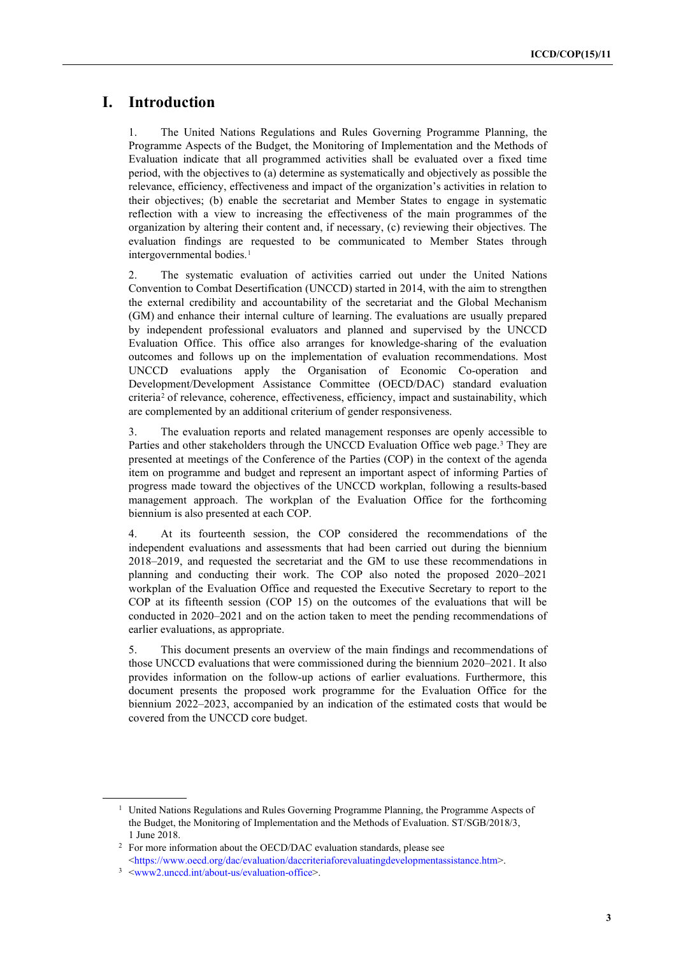### **I. Introduction**

1. The United Nations Regulations and Rules Governing Programme Planning, the Programme Aspects of the Budget, the Monitoring of Implementation and the Methods of Evaluation indicate that all programmed activities shall be evaluated over a fixed time period, with the objectives to (a) determine as systematically and objectively as possible the relevance, efficiency, effectiveness and impact of the organization's activities in relation to their objectives; (b) enable the secretariat and Member States to engage in systematic reflection with a view to increasing the effectiveness of the main programmes of the organization by altering their content and, if necessary, (c) reviewing their objectives. The evaluation findings are requested to be communicated to Member States through intergovernmental bodies. [1](#page-2-0)

2. The systematic evaluation of activities carried out under the United Nations Convention to Combat Desertification (UNCCD) started in 2014, with the aim to strengthen the external credibility and accountability of the secretariat and the Global Mechanism (GM) and enhance their internal culture of learning. The evaluations are usually prepared by independent professional evaluators and planned and supervised by the UNCCD Evaluation Office. This office also arranges for knowledge-sharing of the evaluation outcomes and follows up on the implementation of evaluation recommendations. Most UNCCD evaluations apply the Organisation of Economic Co-operation and Development/Development Assistance Committee (OECD/DAC) standard evaluation criteria<sup>[2](#page-2-1)</sup> of relevance, coherence, effectiveness, efficiency, impact and sustainability, which are complemented by an additional criterium of gender responsiveness.

3. The evaluation reports and related management responses are openly accessible to Parties and other stakeholders through the UNCCD Evaluation Office web page. [3](#page-2-2) They are presented at meetings of the Conference of the Parties (COP) in the context of the agenda item on programme and budget and represent an important aspect of informing Parties of progress made toward the objectives of the UNCCD workplan, following a results-based management approach. The workplan of the Evaluation Office for the forthcoming biennium is also presented at each COP.

4. At its fourteenth session, the COP considered the recommendations of the independent evaluations and assessments that had been carried out during the biennium 2018–2019, and requested the secretariat and the GM to use these recommendations in planning and conducting their work. The COP also noted the proposed 2020–2021 workplan of the Evaluation Office and requested the Executive Secretary to report to the COP at its fifteenth session (COP 15) on the outcomes of the evaluations that will be conducted in 2020–2021 and on the action taken to meet the pending recommendations of earlier evaluations, as appropriate.

5. This document presents an overview of the main findings and recommendations of those UNCCD evaluations that were commissioned during the biennium 2020–2021. It also provides information on the follow-up actions of earlier evaluations. Furthermore, this document presents the proposed work programme for the Evaluation Office for the biennium 2022–2023, accompanied by an indication of the estimated costs that would be covered from the UNCCD core budget.

<span id="page-2-0"></span><sup>&</sup>lt;sup>1</sup> United Nations Regulations and Rules Governing Programme Planning, the Programme Aspects of the Budget, the Monitoring of Implementation and the Methods of Evaluation. ST/SGB/2018/3, 1 June 2018.

<span id="page-2-1"></span><sup>&</sup>lt;sup>2</sup> For more information about the OECD/DAC evaluation standards, please see [<https://www.oecd.org/dac/evaluation/daccriteriaforevaluatingdevelopmentassistance.htm>](https://www.oecd.org/dac/evaluation/daccriteriaforevaluatingdevelopmentassistance.htm).

<span id="page-2-2"></span><sup>3</sup> [<www2.unccd.int/about-us/evaluation-office>](https://www.unccd.int/about-us/evaluation-office).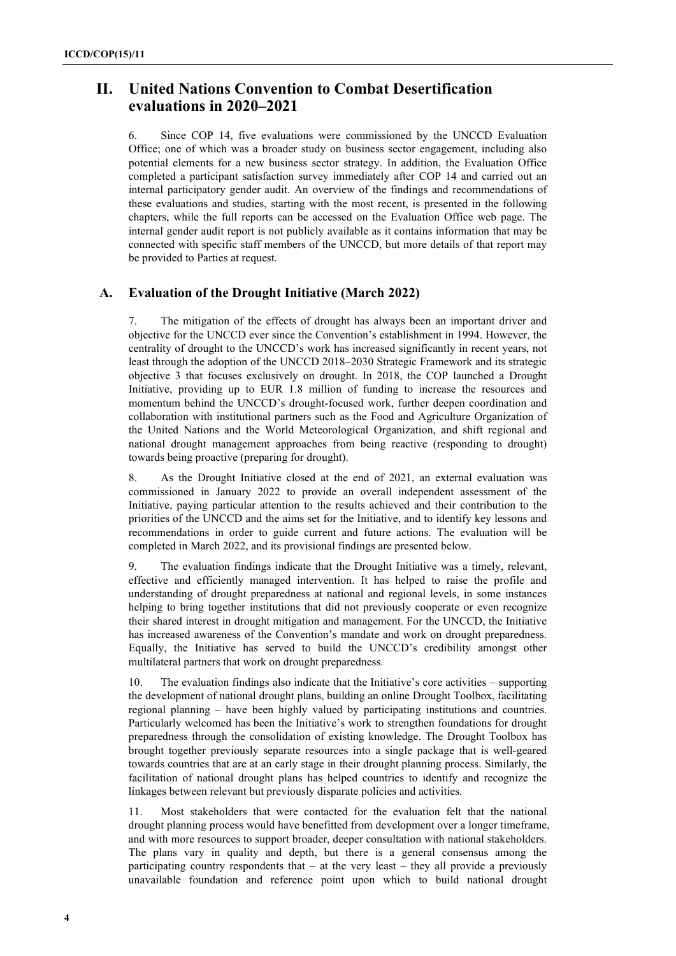### **II. United Nations Convention to Combat Desertification evaluations in 2020–2021**

6. Since COP 14, five evaluations were commissioned by the UNCCD Evaluation Office; one of which was a broader study on business sector engagement, including also potential elements for a new business sector strategy. In addition, the Evaluation Office completed a participant satisfaction survey immediately after COP 14 and carried out an internal participatory gender audit. An overview of the findings and recommendations of these evaluations and studies, starting with the most recent, is presented in the following chapters, while the full reports can be accessed on the Evaluation Office web page. The internal gender audit report is not publicly available as it contains information that may be connected with specific staff members of the UNCCD, but more details of that report may be provided to Parties at request.

#### **A. Evaluation of the Drought Initiative (March 2022)**

7. The mitigation of the effects of drought has always been an important driver and objective for the UNCCD ever since the Convention's establishment in 1994. However, the centrality of drought to the UNCCD's work has increased significantly in recent years, not least through the adoption of the UNCCD 2018–2030 Strategic Framework and its strategic objective 3 that focuses exclusively on drought. In 2018, the COP launched a Drought Initiative, providing up to EUR 1.8 million of funding to increase the resources and momentum behind the UNCCD's drought-focused work, further deepen coordination and collaboration with institutional partners such as the Food and Agriculture Organization of the United Nations and the World Meteorological Organization, and shift regional and national drought management approaches from being reactive (responding to drought) towards being proactive (preparing for drought).

8. As the Drought Initiative closed at the end of 2021, an external evaluation was commissioned in January 2022 to provide an overall independent assessment of the Initiative, paying particular attention to the results achieved and their contribution to the priorities of the UNCCD and the aims set for the Initiative, and to identify key lessons and recommendations in order to guide current and future actions. The evaluation will be completed in March 2022, and its provisional findings are presented below.

9. The evaluation findings indicate that the Drought Initiative was a timely, relevant, effective and efficiently managed intervention. It has helped to raise the profile and understanding of drought preparedness at national and regional levels, in some instances helping to bring together institutions that did not previously cooperate or even recognize their shared interest in drought mitigation and management. For the UNCCD, the Initiative has increased awareness of the Convention's mandate and work on drought preparedness. Equally, the Initiative has served to build the UNCCD's credibility amongst other multilateral partners that work on drought preparedness.

10. The evaluation findings also indicate that the Initiative's core activities – supporting the development of national drought plans, building an online Drought Toolbox, facilitating regional planning – have been highly valued by participating institutions and countries. Particularly welcomed has been the Initiative's work to strengthen foundations for drought preparedness through the consolidation of existing knowledge. The Drought Toolbox has brought together previously separate resources into a single package that is well-geared towards countries that are at an early stage in their drought planning process. Similarly, the facilitation of national drought plans has helped countries to identify and recognize the linkages between relevant but previously disparate policies and activities.

11. Most stakeholders that were contacted for the evaluation felt that the national drought planning process would have benefitted from development over a longer timeframe, and with more resources to support broader, deeper consultation with national stakeholders. The plans vary in quality and depth, but there is a general consensus among the participating country respondents that – at the very least – they all provide a previously unavailable foundation and reference point upon which to build national drought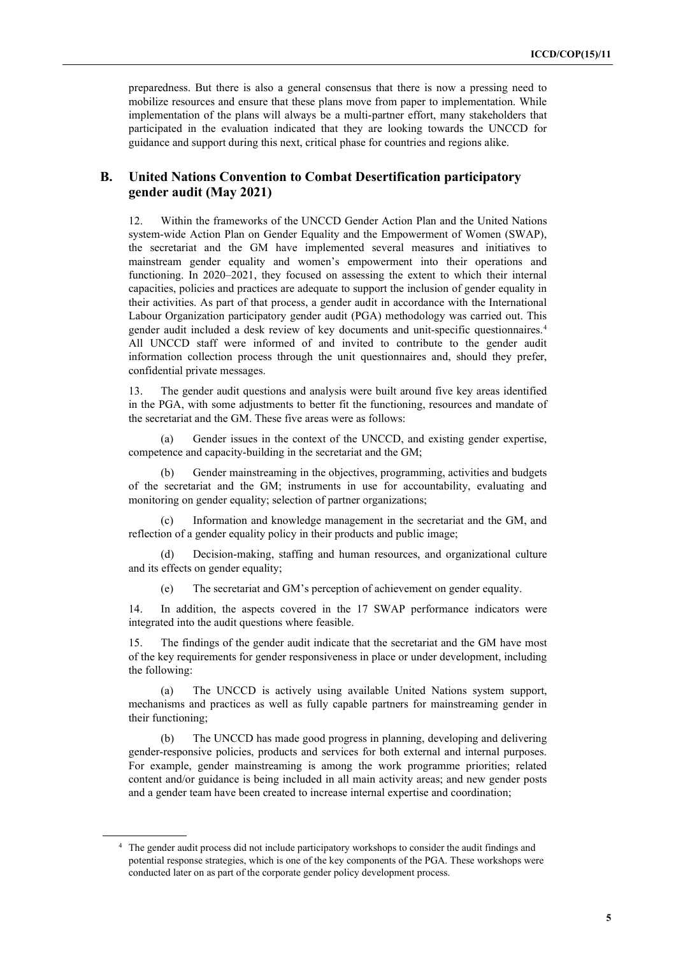preparedness. But there is also a general consensus that there is now a pressing need to mobilize resources and ensure that these plans move from paper to implementation. While implementation of the plans will always be a multi-partner effort, many stakeholders that participated in the evaluation indicated that they are looking towards the UNCCD for guidance and support during this next, critical phase for countries and regions alike.

#### **B. United Nations Convention to Combat Desertification participatory gender audit (May 2021)**

12. Within the frameworks of the UNCCD Gender Action Plan and the [United Nations](https://unsceb.org/sites/default/files/2021-01/SWAP_0.pdf)  [system-wide Action Plan on Gender Equality and the Empowerment of Women \(SWAP\),](https://unsceb.org/sites/default/files/2021-01/SWAP_0.pdf)  the secretariat and the GM have implemented several measures and initiatives to mainstream gender equality and women's empowerment into their operations and functioning. In 2020–2021, they focused on assessing the extent to which their internal capacities, policies and practices are adequate to support the inclusion of gender equality in their activities. As part of that process, a gender audit in accordance with the International Labour Organization participatory gender audit (PGA) methodology was carried out. This gender audit included a desk review of key documents and unit-specific questionnaires.[4](#page-4-0)  All UNCCD staff were informed of and invited to contribute to the gender audit information collection process through the unit questionnaires and, should they prefer, confidential private messages.

13. The gender audit questions and analysis were built around five key areas identified in the PGA, with some adjustments to better fit the functioning, resources and mandate of the secretariat and the GM. These five areas were as follows:

(a) Gender issues in the context of the UNCCD, and existing gender expertise, competence and capacity-building in the secretariat and the GM;

(b) Gender mainstreaming in the objectives, programming, activities and budgets of the secretariat and the GM; instruments in use for accountability, evaluating and monitoring on gender equality; selection of partner organizations;

(c) Information and knowledge management in the secretariat and the GM, and reflection of a gender equality policy in their products and public image;

(d) Decision-making, staffing and human resources, and organizational culture and its effects on gender equality;

(e) The secretariat and GM's perception of achievement on gender equality.

14. In addition, the aspects covered in the 17 SWAP performance indicators were integrated into the audit questions where feasible.

15. The findings of the gender audit indicate that the secretariat and the GM have most of the key requirements for gender responsiveness in place or under development, including the following:

(a) The UNCCD is actively using available United Nations system support, mechanisms and practices as well as fully capable partners for mainstreaming gender in their functioning;

The UNCCD has made good progress in planning, developing and delivering gender-responsive policies, products and services for both external and internal purposes. For example, gender mainstreaming is among the work programme priorities; related content and/or guidance is being included in all main activity areas; and new gender posts and a gender team have been created to increase internal expertise and coordination;

<span id="page-4-0"></span><sup>4</sup> The gender audit process did not include participatory workshops to consider the audit findings and potential response strategies, which is one of the key components of the PGA. These workshops were conducted later on as part of the corporate gender policy development process.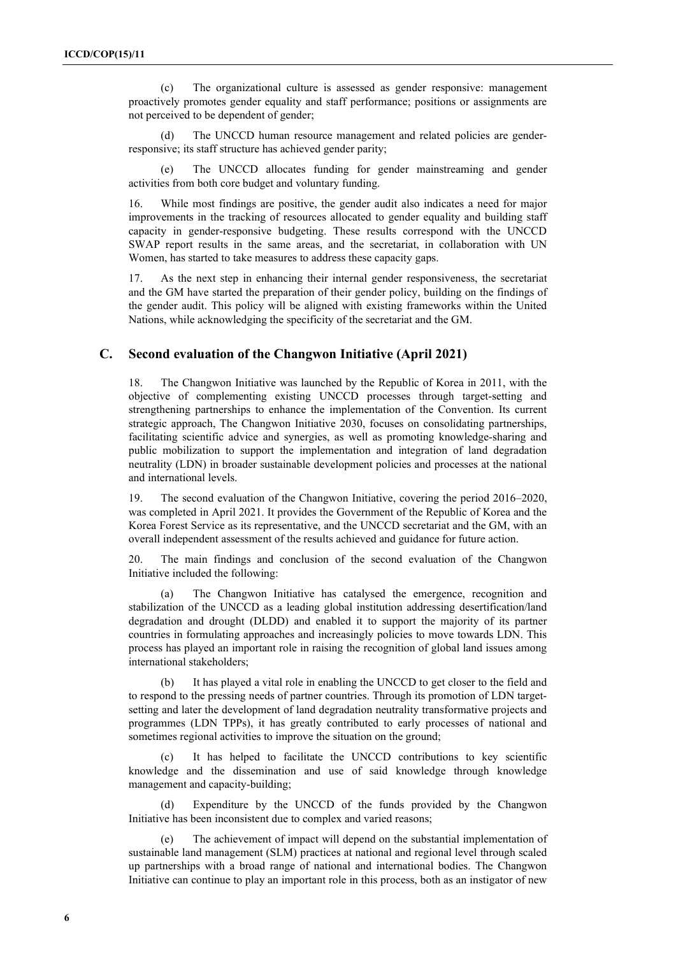(c) The organizational culture is assessed as gender responsive: management proactively promotes gender equality and staff performance; positions or assignments are not perceived to be dependent of gender;

(d) The UNCCD human resource management and related policies are genderresponsive; its staff structure has achieved gender parity;

(e) The UNCCD allocates funding for gender mainstreaming and gender activities from both core budget and voluntary funding.

16. While most findings are positive, the gender audit also indicates a need for major improvements in the tracking of resources allocated to gender equality and building staff capacity in gender-responsive budgeting. These results correspond with the UNCCD SWAP report results in the same areas, and the secretariat, in collaboration with UN Women, has started to take measures to address these capacity gaps.

17. As the next step in enhancing their internal gender responsiveness, the secretariat and the GM have started the preparation of their gender policy, building on the findings of the gender audit. This policy will be aligned with existing frameworks within the United Nations, while acknowledging the specificity of the secretariat and the GM.

#### **C. Second evaluation of the Changwon Initiative (April 2021)**

18. The Changwon Initiative was launched by the Republic of Korea in 2011, with the objective of complementing existing UNCCD processes through target-setting and strengthening partnerships to enhance the implementation of the Convention. Its current strategic approach, The Changwon Initiative 2030, focuses on consolidating partnerships, facilitating scientific advice and synergies, as well as promoting knowledge-sharing and public mobilization to support the implementation and integration of land degradation neutrality (LDN) in broader sustainable development policies and processes at the national and international levels.

19. The second evaluation of the Changwon Initiative, covering the period 2016–2020, was completed in April 2021. It provides the Government of the Republic of Korea and the Korea Forest Service as its representative, and the UNCCD secretariat and the GM, with an overall independent assessment of the results achieved and guidance for future action.

20. The main findings and conclusion of the second evaluation of the Changwon Initiative included the following:

(a) The Changwon Initiative has catalysed the emergence, recognition and stabilization of the UNCCD as a leading global institution addressing desertification/land degradation and drought (DLDD) and enabled it to support the majority of its partner countries in formulating approaches and increasingly policies to move towards LDN. This process has played an important role in raising the recognition of global land issues among international stakeholders;

(b) It has played a vital role in enabling the UNCCD to get closer to the field and to respond to the pressing needs of partner countries. Through its promotion of LDN targetsetting and later the development of land degradation neutrality transformative projects and programmes (LDN TPPs), it has greatly contributed to early processes of national and sometimes regional activities to improve the situation on the ground;

(c) It has helped to facilitate the UNCCD contributions to key scientific knowledge and the dissemination and use of said knowledge through knowledge management and capacity-building;

(d) Expenditure by the UNCCD of the funds provided by the Changwon Initiative has been inconsistent due to complex and varied reasons;

(e) The achievement of impact will depend on the substantial implementation of sustainable land management (SLM) practices at national and regional level through scaled up partnerships with a broad range of national and international bodies. The Changwon Initiative can continue to play an important role in this process, both as an instigator of new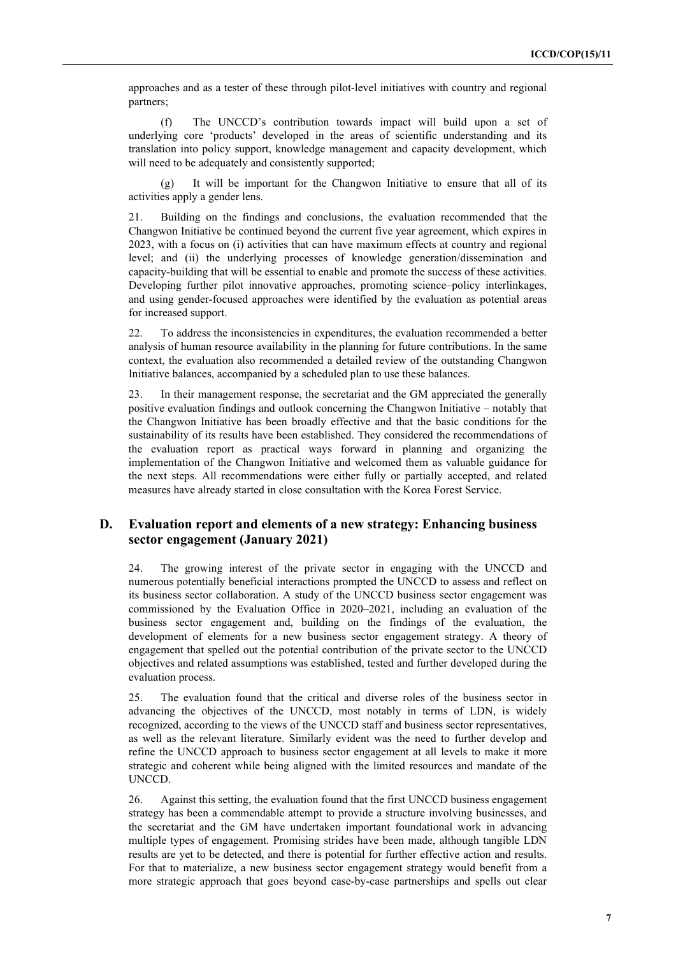approaches and as a tester of these through pilot-level initiatives with country and regional partners;

(f) The UNCCD's contribution towards impact will build upon a set of underlying core 'products' developed in the areas of scientific understanding and its translation into policy support, knowledge management and capacity development, which will need to be adequately and consistently supported;

(g) It will be important for the Changwon Initiative to ensure that all of its activities apply a gender lens.

21. Building on the findings and conclusions, the evaluation recommended that the Changwon Initiative be continued beyond the current five year agreement, which expires in 2023, with a focus on (i) activities that can have maximum effects at country and regional level; and (ii) the underlying processes of knowledge generation/dissemination and capacity-building that will be essential to enable and promote the success of these activities. Developing further pilot innovative approaches, promoting science–policy interlinkages, and using gender-focused approaches were identified by the evaluation as potential areas for increased support.

22. To address the inconsistencies in expenditures, the evaluation recommended a better analysis of human resource availability in the planning for future contributions. In the same context, the evaluation also recommended a detailed review of the outstanding Changwon Initiative balances, accompanied by a scheduled plan to use these balances.

23. In their management response, the secretariat and the GM appreciated the generally positive evaluation findings and outlook concerning the Changwon Initiative – notably that the Changwon Initiative has been broadly effective and that the basic conditions for the sustainability of its results have been established. They considered the recommendations of the evaluation report as practical ways forward in planning and organizing the implementation of the Changwon Initiative and welcomed them as valuable guidance for the next steps. All recommendations were either fully or partially accepted, and related measures have already started in close consultation with the Korea Forest Service.

#### **D. Evaluation report and elements of a new strategy: Enhancing business sector engagement (January 2021)**

24. The growing interest of the private sector in engaging with the UNCCD and numerous potentially beneficial interactions prompted the UNCCD to assess and reflect on its business sector collaboration. A study of the UNCCD business sector engagement was commissioned by the Evaluation Office in 2020–2021, including an evaluation of the business sector engagement and, building on the findings of the evaluation, the development of elements for a new business sector engagement strategy. A theory of engagement that spelled out the potential contribution of the private sector to the UNCCD objectives and related assumptions was established, tested and further developed during the evaluation process.

25. The evaluation found that the critical and diverse roles of the business sector in advancing the objectives of the UNCCD, most notably in terms of LDN, is widely recognized, according to the views of the UNCCD staff and business sector representatives, as well as the relevant literature. Similarly evident was the need to further develop and refine the UNCCD approach to business sector engagement at all levels to make it more strategic and coherent while being aligned with the limited resources and mandate of the UNCCD.

26. Against this setting, the evaluation found that the first UNCCD business engagement strategy has been a commendable attempt to provide a structure involving businesses, and the secretariat and the GM have undertaken important foundational work in advancing multiple types of engagement. Promising strides have been made, although tangible LDN results are yet to be detected, and there is potential for further effective action and results. For that to materialize, a new business sector engagement strategy would benefit from a more strategic approach that goes beyond case-by-case partnerships and spells out clear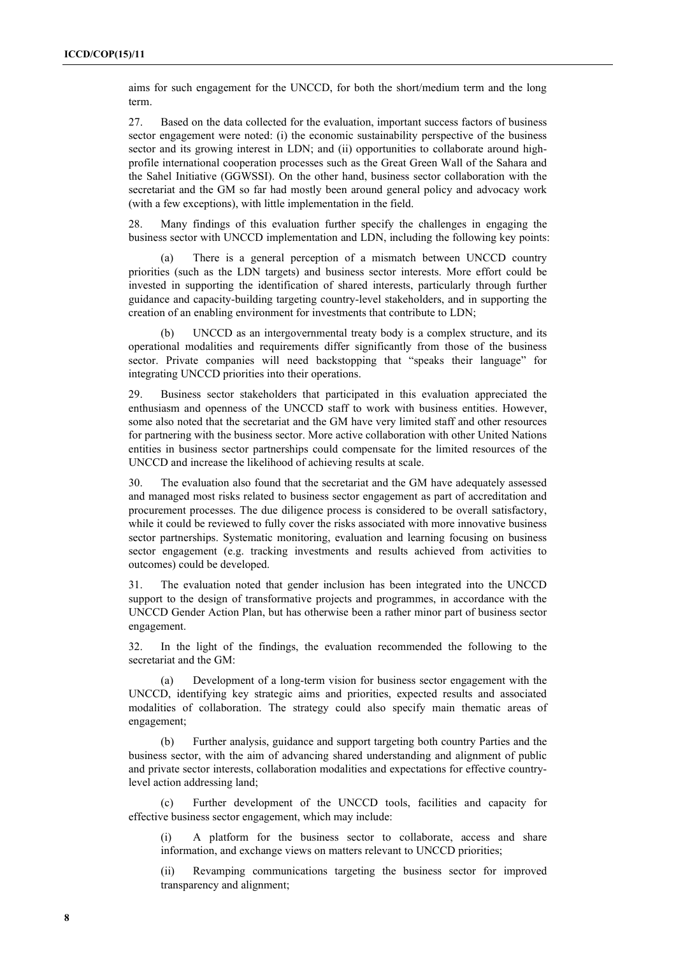aims for such engagement for the UNCCD, for both the short/medium term and the long term.

27. Based on the data collected for the evaluation, important success factors of business sector engagement were noted: (i) the economic sustainability perspective of the business sector and its growing interest in LDN; and (ii) opportunities to collaborate around highprofile international cooperation processes such as the Great Green Wall of the Sahara and the Sahel Initiative (GGWSSI). On the other hand, business sector collaboration with the secretariat and the GM so far had mostly been around general policy and advocacy work (with a few exceptions), with little implementation in the field.

28. Many findings of this evaluation further specify the challenges in engaging the business sector with UNCCD implementation and LDN, including the following key points:

(a) There is a general perception of a mismatch between UNCCD country priorities (such as the LDN targets) and business sector interests. More effort could be invested in supporting the identification of shared interests, particularly through further guidance and capacity-building targeting country-level stakeholders, and in supporting the creation of an enabling environment for investments that contribute to LDN;

(b) UNCCD as an intergovernmental treaty body is a complex structure, and its operational modalities and requirements differ significantly from those of the business sector. Private companies will need backstopping that "speaks their language" for integrating UNCCD priorities into their operations.

29. Business sector stakeholders that participated in this evaluation appreciated the enthusiasm and openness of the UNCCD staff to work with business entities. However, some also noted that the secretariat and the GM have very limited staff and other resources for partnering with the business sector. More active collaboration with other United Nations entities in business sector partnerships could compensate for the limited resources of the UNCCD and increase the likelihood of achieving results at scale.

30. The evaluation also found that the secretariat and the GM have adequately assessed and managed most risks related to business sector engagement as part of accreditation and procurement processes. The due diligence process is considered to be overall satisfactory, while it could be reviewed to fully cover the risks associated with more innovative business sector partnerships. Systematic monitoring, evaluation and learning focusing on business sector engagement (e.g. tracking investments and results achieved from activities to outcomes) could be developed.

31. The evaluation noted that gender inclusion has been integrated into the UNCCD support to the design of transformative projects and programmes, in accordance with the UNCCD Gender Action Plan, but has otherwise been a rather minor part of business sector engagement.

32. In the light of the findings, the evaluation recommended the following to the secretariat and the GM:

(a) Development of a long-term vision for business sector engagement with the UNCCD, identifying key strategic aims and priorities, expected results and associated modalities of collaboration. The strategy could also specify main thematic areas of engagement;

(b) Further analysis, guidance and support targeting both country Parties and the business sector, with the aim of advancing shared understanding and alignment of public and private sector interests, collaboration modalities and expectations for effective countrylevel action addressing land;

(c) Further development of the UNCCD tools, facilities and capacity for effective business sector engagement, which may include:

(i) A platform for the business sector to collaborate, access and share information, and exchange views on matters relevant to UNCCD priorities;

(ii) Revamping communications targeting the business sector for improved transparency and alignment;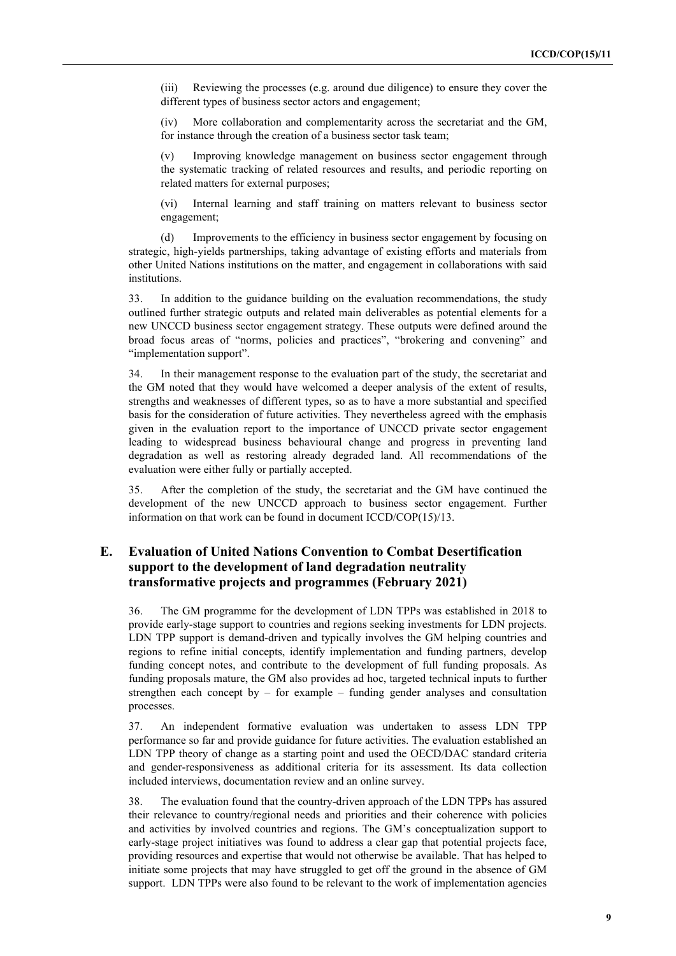(iii) Reviewing the processes (e.g. around due diligence) to ensure they cover the different types of business sector actors and engagement;

(iv) More collaboration and complementarity across the secretariat and the GM, for instance through the creation of a business sector task team;

(v) Improving knowledge management on business sector engagement through the systematic tracking of related resources and results, and periodic reporting on related matters for external purposes;

(vi) Internal learning and staff training on matters relevant to business sector engagement;

(d) Improvements to the efficiency in business sector engagement by focusing on strategic, high-yields partnerships, taking advantage of existing efforts and materials from other United Nations institutions on the matter, and engagement in collaborations with said institutions.

33. In addition to the guidance building on the evaluation recommendations, the study outlined further strategic outputs and related main deliverables as potential elements for a new UNCCD business sector engagement strategy. These outputs were defined around the broad focus areas of "norms, policies and practices", "brokering and convening" and "implementation support".

34. In their management response to the evaluation part of the study, the secretariat and the GM noted that they would have welcomed a deeper analysis of the extent of results, strengths and weaknesses of different types, so as to have a more substantial and specified basis for the consideration of future activities. They nevertheless agreed with the emphasis given in the evaluation report to the importance of UNCCD private sector engagement leading to widespread business behavioural change and progress in preventing land degradation as well as restoring already degraded land. All recommendations of the evaluation were either fully or partially accepted.

35. After the completion of the study, the secretariat and the GM have continued the development of the new UNCCD approach to business sector engagement. Further information on that work can be found in document ICCD/COP(15)/13.

#### **E. Evaluation of United Nations Convention to Combat Desertification support to the development of land degradation neutrality transformative projects and programmes (February 2021)**

36. The GM programme for the development of LDN TPPs was established in 2018 to provide early-stage support to countries and regions seeking investments for LDN projects. LDN TPP support is demand-driven and typically involves the GM helping countries and regions to refine initial concepts, identify implementation and funding partners, develop funding concept notes, and contribute to the development of full funding proposals. As funding proposals mature, the GM also provides ad hoc, targeted technical inputs to further strengthen each concept by – for example – funding gender analyses and consultation processes.

37. An independent formative evaluation was undertaken to assess LDN TPP performance so far and provide guidance for future activities. The evaluation established an LDN TPP theory of change as a starting point and used the OECD/DAC standard criteria and gender-responsiveness as additional criteria for its assessment. Its data collection included interviews, documentation review and an online survey.

38. The evaluation found that the country-driven approach of the LDN TPPs has assured their relevance to country/regional needs and priorities and their coherence with policies and activities by involved countries and regions. The GM's conceptualization support to early-stage project initiatives was found to address a clear gap that potential projects face, providing resources and expertise that would not otherwise be available. That has helped to initiate some projects that may have struggled to get off the ground in the absence of GM support. LDN TPPs were also found to be relevant to the work of implementation agencies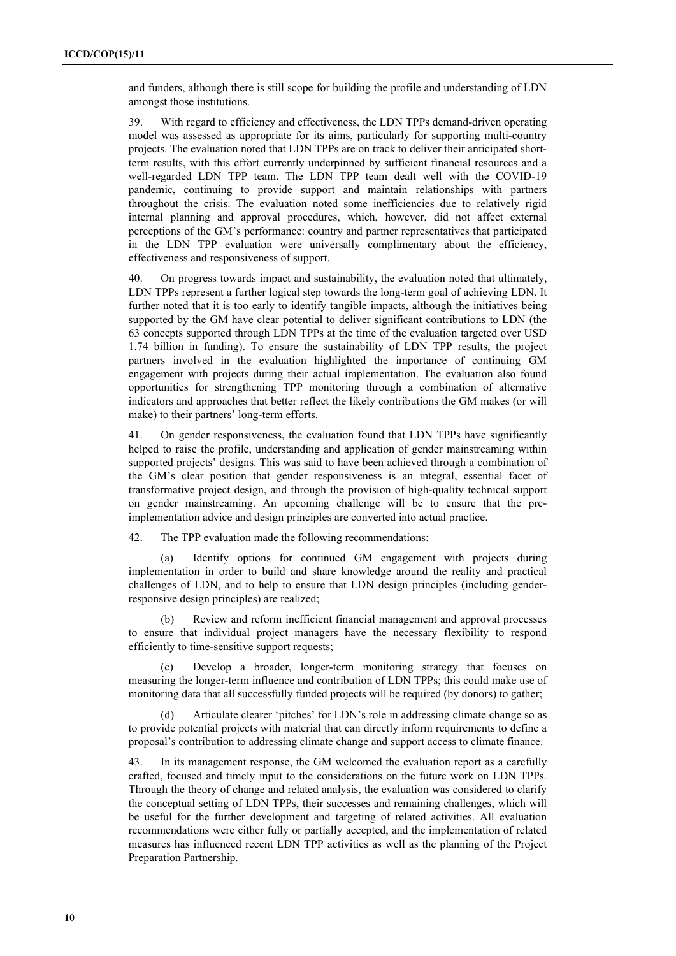and funders, although there is still scope for building the profile and understanding of LDN amongst those institutions.

39. With regard to efficiency and effectiveness, the LDN TPPs demand-driven operating model was assessed as appropriate for its aims, particularly for supporting multi-country projects. The evaluation noted that LDN TPPs are on track to deliver their anticipated shortterm results, with this effort currently underpinned by sufficient financial resources and a well-regarded LDN TPP team. The LDN TPP team dealt well with the COVID-19 pandemic, continuing to provide support and maintain relationships with partners throughout the crisis. The evaluation noted some inefficiencies due to relatively rigid internal planning and approval procedures, which, however, did not affect external perceptions of the GM's performance: country and partner representatives that participated in the LDN TPP evaluation were universally complimentary about the efficiency, effectiveness and responsiveness of support.

40. On progress towards impact and sustainability, the evaluation noted that ultimately, LDN TPPs represent a further logical step towards the long-term goal of achieving LDN. It further noted that it is too early to identify tangible impacts, although the initiatives being supported by the GM have clear potential to deliver significant contributions to LDN (the 63 concepts supported through LDN TPPs at the time of the evaluation targeted over USD 1.74 billion in funding). To ensure the sustainability of LDN TPP results, the project partners involved in the evaluation highlighted the importance of continuing GM engagement with projects during their actual implementation. The evaluation also found opportunities for strengthening TPP monitoring through a combination of alternative indicators and approaches that better reflect the likely contributions the GM makes (or will make) to their partners' long-term efforts.

41. On gender responsiveness, the evaluation found that LDN TPPs have significantly helped to raise the profile, understanding and application of gender mainstreaming within supported projects' designs. This was said to have been achieved through a combination of the GM's clear position that gender responsiveness is an integral, essential facet of transformative project design, and through the provision of high-quality technical support on gender mainstreaming. An upcoming challenge will be to ensure that the preimplementation advice and design principles are converted into actual practice.

42. The TPP evaluation made the following recommendations:

(a) Identify options for continued GM engagement with projects during implementation in order to build and share knowledge around the reality and practical challenges of LDN, and to help to ensure that LDN design principles (including genderresponsive design principles) are realized;

(b) Review and reform inefficient financial management and approval processes to ensure that individual project managers have the necessary flexibility to respond efficiently to time-sensitive support requests;

(c) Develop a broader, longer-term monitoring strategy that focuses on measuring the longer-term influence and contribution of LDN TPPs; this could make use of monitoring data that all successfully funded projects will be required (by donors) to gather;

(d) Articulate clearer 'pitches' for LDN's role in addressing climate change so as to provide potential projects with material that can directly inform requirements to define a proposal's contribution to addressing climate change and support access to climate finance.

43. In its management response, the GM welcomed the evaluation report as a carefully crafted, focused and timely input to the considerations on the future work on LDN TPPs. Through the theory of change and related analysis, the evaluation was considered to clarify the conceptual setting of LDN TPPs, their successes and remaining challenges, which will be useful for the further development and targeting of related activities. All evaluation recommendations were either fully or partially accepted, and the implementation of related measures has influenced recent LDN TPP activities as well as the planning of the Project Preparation Partnership.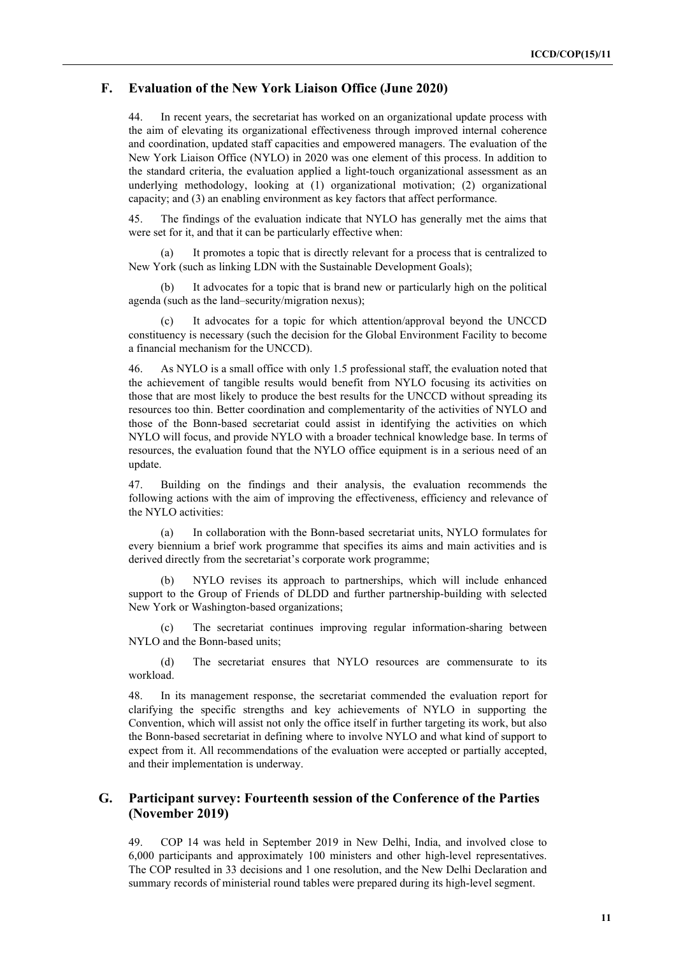#### **F. Evaluation of the New York Liaison Office (June 2020)**

44. In recent years, the secretariat has worked on an organizational update process with the aim of elevating its organizational effectiveness through improved internal coherence and coordination, updated staff capacities and empowered managers. The evaluation of the New York Liaison Office (NYLO) in 2020 was one element of this process. In addition to the standard criteria, the evaluation applied a light-touch organizational assessment as an underlying methodology, looking at (1) organizational motivation; (2) organizational capacity; and (3) an enabling environment as key factors that affect performance.

45. The findings of the evaluation indicate that NYLO has generally met the aims that were set for it, and that it can be particularly effective when:

(a) It promotes a topic that is directly relevant for a process that is centralized to New York (such as linking LDN with the Sustainable Development Goals);

(b) It advocates for a topic that is brand new or particularly high on the political agenda (such as the land–security/migration nexus);

It advocates for a topic for which attention/approval beyond the UNCCD constituency is necessary (such the decision for the Global Environment Facility to become a financial mechanism for the UNCCD).

46. As NYLO is a small office with only 1.5 professional staff, the evaluation noted that the achievement of tangible results would benefit from NYLO focusing its activities on those that are most likely to produce the best results for the UNCCD without spreading its resources too thin. Better coordination and complementarity of the activities of NYLO and those of the Bonn-based secretariat could assist in identifying the activities on which NYLO will focus, and provide NYLO with a broader technical knowledge base. In terms of resources, the evaluation found that the NYLO office equipment is in a serious need of an update.

47. Building on the findings and their analysis, the evaluation recommends the following actions with the aim of improving the effectiveness, efficiency and relevance of the NYLO activities:

(a) In collaboration with the Bonn-based secretariat units, NYLO formulates for every biennium a brief work programme that specifies its aims and main activities and is derived directly from the secretariat's corporate work programme;

(b) NYLO revises its approach to partnerships, which will include enhanced support to the Group of Friends of DLDD and further partnership-building with selected New York or Washington-based organizations;

(c) The secretariat continues improving regular information-sharing between NYLO and the Bonn-based units;

(d) The secretariat ensures that NYLO resources are commensurate to its workload.

48. In its management response, the secretariat commended the evaluation report for clarifying the specific strengths and key achievements of NYLO in supporting the Convention, which will assist not only the office itself in further targeting its work, but also the Bonn-based secretariat in defining where to involve NYLO and what kind of support to expect from it. All recommendations of the evaluation were accepted or partially accepted, and their implementation is underway.

#### **G. Participant survey: Fourteenth session of the Conference of the Parties (November 2019)**

49. COP 14 was held in September 2019 in New Delhi, India, and involved close to 6,000 participants and approximately 100 ministers and other high-level representatives. The COP resulted in 33 decisions and 1 one resolution, and the New Delhi Declaration and summary records of ministerial round tables were prepared during its high-level segment.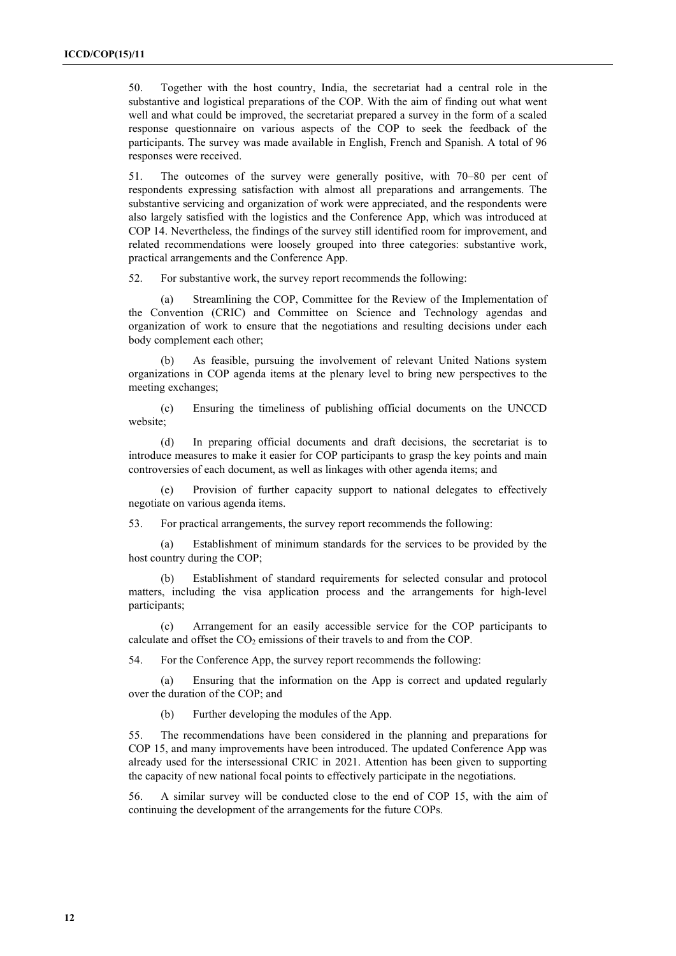50. Together with the host country, India, the secretariat had a central role in the substantive and logistical preparations of the COP. With the aim of finding out what went well and what could be improved, the secretariat prepared a survey in the form of a scaled response questionnaire on various aspects of the COP to seek the feedback of the participants. The survey was made available in English, French and Spanish. A total of 96 responses were received.

51. The outcomes of the survey were generally positive, with 70–80 per cent of respondents expressing satisfaction with almost all preparations and arrangements. The substantive servicing and organization of work were appreciated, and the respondents were also largely satisfied with the logistics and the Conference App, which was introduced at COP 14. Nevertheless, the findings of the survey still identified room for improvement, and related recommendations were loosely grouped into three categories: substantive work, practical arrangements and the Conference App.

52. For substantive work, the survey report recommends the following:

(a) Streamlining the COP, Committee for the Review of the Implementation of the Convention (CRIC) and Committee on Science and Technology agendas and organization of work to ensure that the negotiations and resulting decisions under each body complement each other;

(b) As feasible, pursuing the involvement of relevant United Nations system organizations in COP agenda items at the plenary level to bring new perspectives to the meeting exchanges;

(c) Ensuring the timeliness of publishing official documents on the UNCCD website;

(d) In preparing official documents and draft decisions, the secretariat is to introduce measures to make it easier for COP participants to grasp the key points and main controversies of each document, as well as linkages with other agenda items; and

(e) Provision of further capacity support to national delegates to effectively negotiate on various agenda items.

53. For practical arrangements, the survey report recommends the following:

(a) Establishment of minimum standards for the services to be provided by the host country during the COP;

(b) Establishment of standard requirements for selected consular and protocol matters, including the visa application process and the arrangements for high-level participants;

(c) Arrangement for an easily accessible service for the COP participants to calculate and offset the  $CO<sub>2</sub>$  emissions of their travels to and from the COP.

54. For the Conference App, the survey report recommends the following:

(a) Ensuring that the information on the App is correct and updated regularly over the duration of the COP; and

(b) Further developing the modules of the App.

55. The recommendations have been considered in the planning and preparations for COP 15, and many improvements have been introduced. The updated Conference App was already used for the intersessional CRIC in 2021. Attention has been given to supporting the capacity of new national focal points to effectively participate in the negotiations.

56. A similar survey will be conducted close to the end of COP 15, with the aim of continuing the development of the arrangements for the future COPs.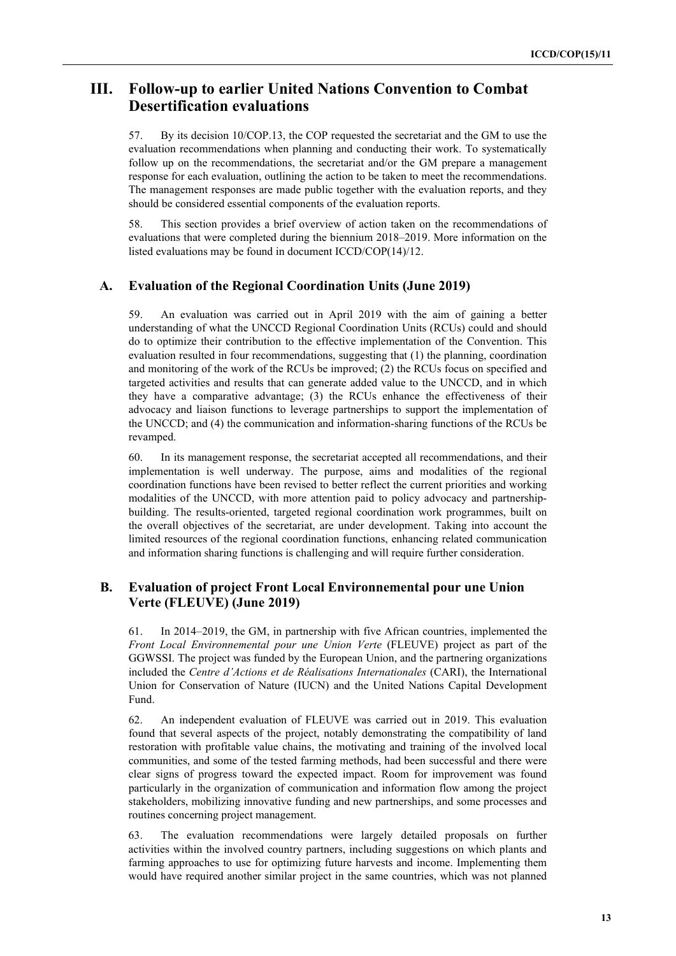### **III. Follow-up to earlier United Nations Convention to Combat Desertification evaluations**

57. By its decision 10/COP.13, the COP requested the secretariat and the GM to use the evaluation recommendations when planning and conducting their work. To systematically follow up on the recommendations, the secretariat and/or the GM prepare a management response for each evaluation, outlining the action to be taken to meet the recommendations. The management responses are made public together with the evaluation reports, and they should be considered essential components of the evaluation reports.

58. This section provides a brief overview of action taken on the recommendations of evaluations that were completed during the biennium 2018–2019. More information on the listed evaluations may be found in document ICCD/COP(14)/12.

#### **A. Evaluation of the Regional Coordination Units (June 2019)**

59. An evaluation was carried out in April 2019 with the aim of gaining a better understanding of what the UNCCD Regional Coordination Units (RCUs) could and should do to optimize their contribution to the effective implementation of the Convention. This evaluation resulted in four recommendations, suggesting that (1) the planning, coordination and monitoring of the work of the RCUs be improved; (2) the RCUs focus on specified and targeted activities and results that can generate added value to the UNCCD, and in which they have a comparative advantage; (3) the RCUs enhance the effectiveness of their advocacy and liaison functions to leverage partnerships to support the implementation of the UNCCD; and (4) the communication and information-sharing functions of the RCUs be revamped.

60. In its management response, the secretariat accepted all recommendations, and their implementation is well underway. The purpose, aims and modalities of the regional coordination functions have been revised to better reflect the current priorities and working modalities of the UNCCD, with more attention paid to policy advocacy and partnershipbuilding. The results-oriented, targeted regional coordination work programmes, built on the overall objectives of the secretariat, are under development. Taking into account the limited resources of the regional coordination functions, enhancing related communication and information sharing functions is challenging and will require further consideration.

#### **B. Evaluation of project Front Local Environnemental pour une Union Verte (FLEUVE) (June 2019)**

61. In 2014–2019, the GM, in partnership with five African countries, implemented the *Front Local Environnemental pour une Union Verte* (FLEUVE) project as part of the GGWSSI. The project was funded by the European Union, and the partnering organizations included the *Centre d'Actions et de Réalisations Internationales* (CARI), the International Union for Conservation of Nature (IUCN) and the United Nations Capital Development Fund.

62. An independent evaluation of FLEUVE was carried out in 2019. This evaluation found that several aspects of the project, notably demonstrating the compatibility of land restoration with profitable value chains, the motivating and training of the involved local communities, and some of the tested farming methods, had been successful and there were clear signs of progress toward the expected impact. Room for improvement was found particularly in the organization of communication and information flow among the project stakeholders, mobilizing innovative funding and new partnerships, and some processes and routines concerning project management.

63. The evaluation recommendations were largely detailed proposals on further activities within the involved country partners, including suggestions on which plants and farming approaches to use for optimizing future harvests and income. Implementing them would have required another similar project in the same countries, which was not planned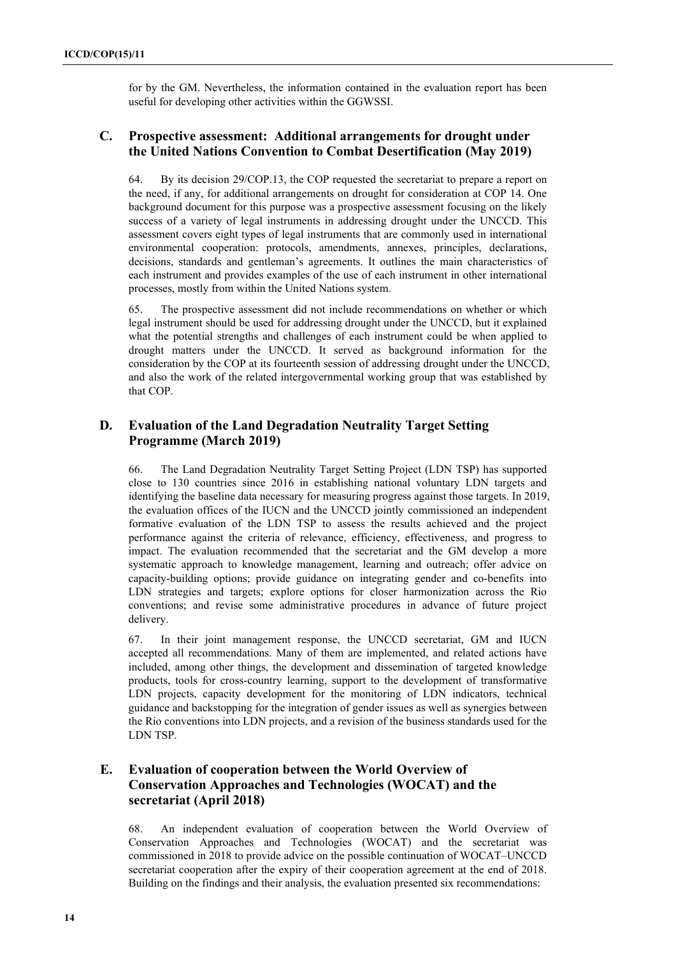for by the GM. Nevertheless, the information contained in the evaluation report has been useful for developing other activities within the GGWSSI.

#### **C. Prospective assessment: Additional arrangements for drought under the United Nations Convention to Combat Desertification (May 2019)**

64. By its decision 29/COP.13, the COP requested the secretariat to prepare a report on the need, if any, for additional arrangements on drought for consideration at COP 14. One background document for this purpose was a prospective assessment focusing on the likely success of a variety of legal instruments in addressing drought under the UNCCD. This assessment covers eight types of legal instruments that are commonly used in international environmental cooperation: protocols, amendments, annexes, principles, declarations, decisions, standards and gentleman's agreements. It outlines the main characteristics of each instrument and provides examples of the use of each instrument in other international processes, mostly from within the United Nations system.

65. The prospective assessment did not include recommendations on whether or which legal instrument should be used for addressing drought under the UNCCD, but it explained what the potential strengths and challenges of each instrument could be when applied to drought matters under the UNCCD. It served as background information for the consideration by the COP at its fourteenth session of addressing drought under the UNCCD, and also the work of the related intergovernmental working group that was established by that COP.

#### **D. Evaluation of the Land Degradation Neutrality Target Setting Programme (March 2019)**

66. The Land Degradation Neutrality Target Setting Project (LDN TSP) has supported close to 130 countries since 2016 in establishing national voluntary LDN targets and identifying the baseline data necessary for measuring progress against those targets. In 2019, the evaluation offices of the IUCN and the UNCCD jointly commissioned an independent formative evaluation of the LDN TSP to assess the results achieved and the project performance against the criteria of relevance, efficiency, effectiveness, and progress to impact. The evaluation recommended that the secretariat and the GM develop a more systematic approach to knowledge management, learning and outreach; offer advice on capacity-building options; provide guidance on integrating gender and co-benefits into LDN strategies and targets; explore options for closer harmonization across the Rio conventions; and revise some administrative procedures in advance of future project delivery.

67. In their joint management response, the UNCCD secretariat, GM and IUCN accepted all recommendations. Many of them are implemented, and related actions have included, among other things, the development and dissemination of targeted knowledge products, tools for cross-country learning, support to the development of transformative LDN projects, capacity development for the monitoring of LDN indicators, technical guidance and backstopping for the integration of gender issues as well as synergies between the Rio conventions into LDN projects, and a revision of the business standards used for the LDN TSP.

### **E. Evaluation of cooperation between the World Overview of Conservation Approaches and Technologies (WOCAT) and the secretariat (April 2018)**

68. An independent evaluation of cooperation between the World Overview of Conservation Approaches and Technologies (WOCAT) and the secretariat was commissioned in 2018 to provide advice on the possible continuation of WOCAT–UNCCD secretariat cooperation after the expiry of their cooperation agreement at the end of 2018. Building on the findings and their analysis, the evaluation presented six recommendations: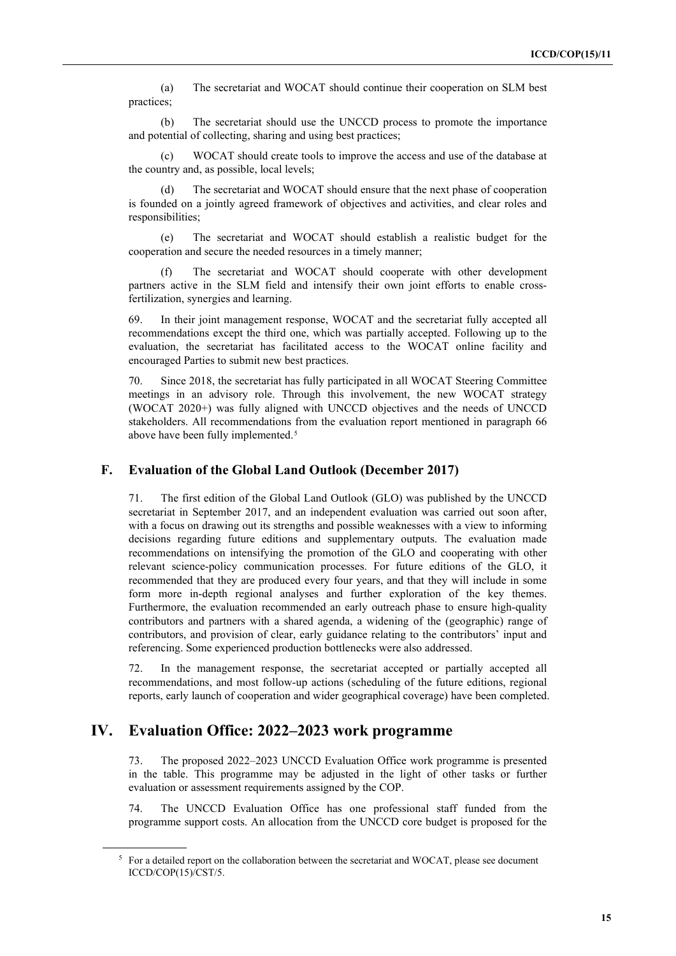(a) The secretariat and WOCAT should continue their cooperation on SLM best practices;

(b) The secretariat should use the UNCCD process to promote the importance and potential of collecting, sharing and using best practices;

(c) WOCAT should create tools to improve the access and use of the database at the country and, as possible, local levels;

The secretariat and WOCAT should ensure that the next phase of cooperation is founded on a jointly agreed framework of objectives and activities, and clear roles and responsibilities;

(e) The secretariat and WOCAT should establish a realistic budget for the cooperation and secure the needed resources in a timely manner;

The secretariat and WOCAT should cooperate with other development partners active in the SLM field and intensify their own joint efforts to enable crossfertilization, synergies and learning.

69. In their joint management response, WOCAT and the secretariat fully accepted all recommendations except the third one, which was partially accepted. Following up to the evaluation, the secretariat has facilitated access to the WOCAT online facility and encouraged Parties to submit new best practices.

70. Since 2018, the secretariat has fully participated in all WOCAT Steering Committee meetings in an advisory role. Through this involvement, the new WOCAT strategy (WOCAT 2020+) was fully aligned with UNCCD objectives and the needs of UNCCD stakeholders. All recommendations from the evaluation report mentioned in paragraph 66 above have been fully implemented.<sup>[5](#page-14-0)</sup>

#### **F. Evaluation of the Global Land Outlook (December 2017)**

71. The first edition of the Global Land Outlook (GLO) was published by the UNCCD secretariat in September 2017, and an independent evaluation was carried out soon after, with a focus on drawing out its strengths and possible weaknesses with a view to informing decisions regarding future editions and supplementary outputs. The evaluation made recommendations on intensifying the promotion of the GLO and cooperating with other relevant science-policy communication processes. For future editions of the GLO, it recommended that they are produced every four years, and that they will include in some form more in-depth regional analyses and further exploration of the key themes. Furthermore, the evaluation recommended an early outreach phase to ensure high-quality contributors and partners with a shared agenda, a widening of the (geographic) range of contributors, and provision of clear, early guidance relating to the contributors' input and referencing. Some experienced production bottlenecks were also addressed.

72. In the management response, the secretariat accepted or partially accepted all recommendations, and most follow-up actions (scheduling of the future editions, regional reports, early launch of cooperation and wider geographical coverage) have been completed.

### **IV. Evaluation Office: 2022–2023 work programme**

73. The proposed 2022–2023 UNCCD Evaluation Office work programme is presented in the table. This programme may be adjusted in the light of other tasks or further evaluation or assessment requirements assigned by the COP.

74. The UNCCD Evaluation Office has one professional staff funded from the programme support costs. An allocation from the UNCCD core budget is proposed for the

<span id="page-14-0"></span><sup>&</sup>lt;sup>5</sup> For a detailed report on the collaboration between the secretariat and WOCAT, please see document ICCD/COP(15)/CST/5.